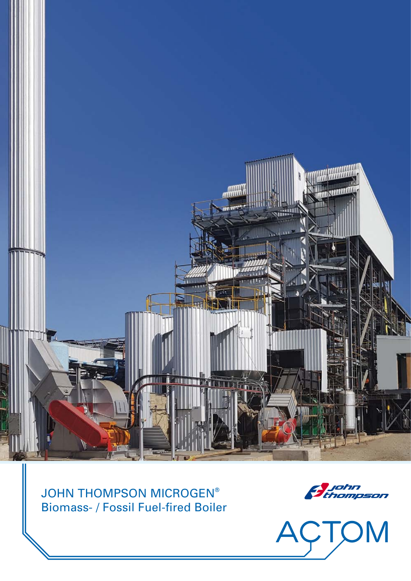

JOHN THOMPSON MICROGEN® Biomass- / Fossil Fuel-fired Boiler